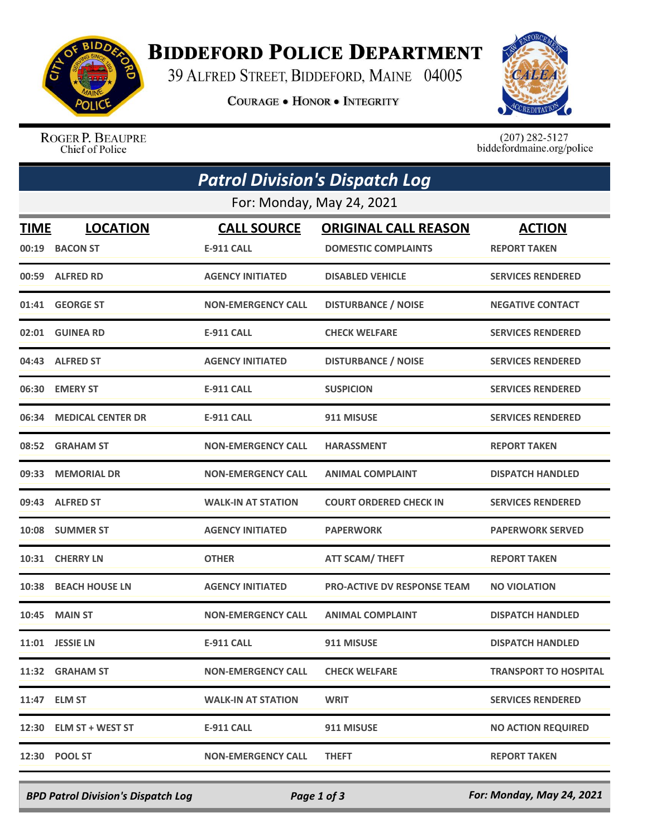

## **BIDDEFORD POLICE DEPARTMENT**

39 ALFRED STREET, BIDDEFORD, MAINE 04005

**COURAGE . HONOR . INTEGRITY** 



ROGER P. BEAUPRE Chief of Police

 $(207)$  282-5127<br>biddefordmaine.org/police

|                           | <b>Patrol Division's Dispatch Log</b> |                                         |                                                           |                                      |  |  |  |
|---------------------------|---------------------------------------|-----------------------------------------|-----------------------------------------------------------|--------------------------------------|--|--|--|
| For: Monday, May 24, 2021 |                                       |                                         |                                                           |                                      |  |  |  |
| <b>TIME</b>               | <b>LOCATION</b><br>00:19 BACON ST     | <b>CALL SOURCE</b><br><b>E-911 CALL</b> | <b>ORIGINAL CALL REASON</b><br><b>DOMESTIC COMPLAINTS</b> | <b>ACTION</b><br><b>REPORT TAKEN</b> |  |  |  |
|                           | 00:59 ALFRED RD                       | <b>AGENCY INITIATED</b>                 | <b>DISABLED VEHICLE</b>                                   | <b>SERVICES RENDERED</b>             |  |  |  |
|                           | 01:41 GEORGE ST                       | <b>NON-EMERGENCY CALL</b>               | <b>DISTURBANCE / NOISE</b>                                | <b>NEGATIVE CONTACT</b>              |  |  |  |
|                           | 02:01 GUINEA RD                       | <b>E-911 CALL</b>                       | <b>CHECK WELFARE</b>                                      | <b>SERVICES RENDERED</b>             |  |  |  |
|                           | 04:43 ALFRED ST                       | <b>AGENCY INITIATED</b>                 | <b>DISTURBANCE / NOISE</b>                                | <b>SERVICES RENDERED</b>             |  |  |  |
|                           | 06:30 EMERY ST                        | <b>E-911 CALL</b>                       | <b>SUSPICION</b>                                          | <b>SERVICES RENDERED</b>             |  |  |  |
| 06:34                     | <b>MEDICAL CENTER DR</b>              | <b>E-911 CALL</b>                       | 911 MISUSE                                                | <b>SERVICES RENDERED</b>             |  |  |  |
|                           | 08:52 GRAHAM ST                       | <b>NON-EMERGENCY CALL</b>               | <b>HARASSMENT</b>                                         | <b>REPORT TAKEN</b>                  |  |  |  |
|                           | 09:33 MEMORIAL DR                     | <b>NON-EMERGENCY CALL</b>               | <b>ANIMAL COMPLAINT</b>                                   | <b>DISPATCH HANDLED</b>              |  |  |  |
|                           | 09:43 ALFRED ST                       | <b>WALK-IN AT STATION</b>               | <b>COURT ORDERED CHECK IN</b>                             | <b>SERVICES RENDERED</b>             |  |  |  |
|                           | 10:08 SUMMER ST                       | <b>AGENCY INITIATED</b>                 | <b>PAPERWORK</b>                                          | <b>PAPERWORK SERVED</b>              |  |  |  |
|                           | 10:31 CHERRY LN                       | <b>OTHER</b>                            | <b>ATT SCAM/ THEFT</b>                                    | <b>REPORT TAKEN</b>                  |  |  |  |
| 10:38                     | <b>BEACH HOUSE LN</b>                 | <b>AGENCY INITIATED</b>                 | <b>PRO-ACTIVE DV RESPONSE TEAM</b>                        | <b>NO VIOLATION</b>                  |  |  |  |
|                           | <b>10:45 MAIN ST</b>                  | <b>NON-EMERGENCY CALL</b>               | <b>ANIMAL COMPLAINT</b>                                   | <b>DISPATCH HANDLED</b>              |  |  |  |
|                           | 11:01 JESSIE LN                       | <b>E-911 CALL</b>                       | 911 MISUSE                                                | <b>DISPATCH HANDLED</b>              |  |  |  |
|                           | 11:32 GRAHAM ST                       | <b>NON-EMERGENCY CALL</b>               | <b>CHECK WELFARE</b>                                      | <b>TRANSPORT TO HOSPITAL</b>         |  |  |  |
|                           | 11:47 ELM ST                          | <b>WALK-IN AT STATION</b>               | <b>WRIT</b>                                               | <b>SERVICES RENDERED</b>             |  |  |  |
|                           | 12:30 ELM ST + WEST ST                | <b>E-911 CALL</b>                       | 911 MISUSE                                                | <b>NO ACTION REQUIRED</b>            |  |  |  |
|                           | 12:30 POOL ST                         | <b>NON-EMERGENCY CALL</b>               | <b>THEFT</b>                                              | <b>REPORT TAKEN</b>                  |  |  |  |

*BPD Patrol Division's Dispatch Log Page 1 of 3 For: Monday, May 24, 2021*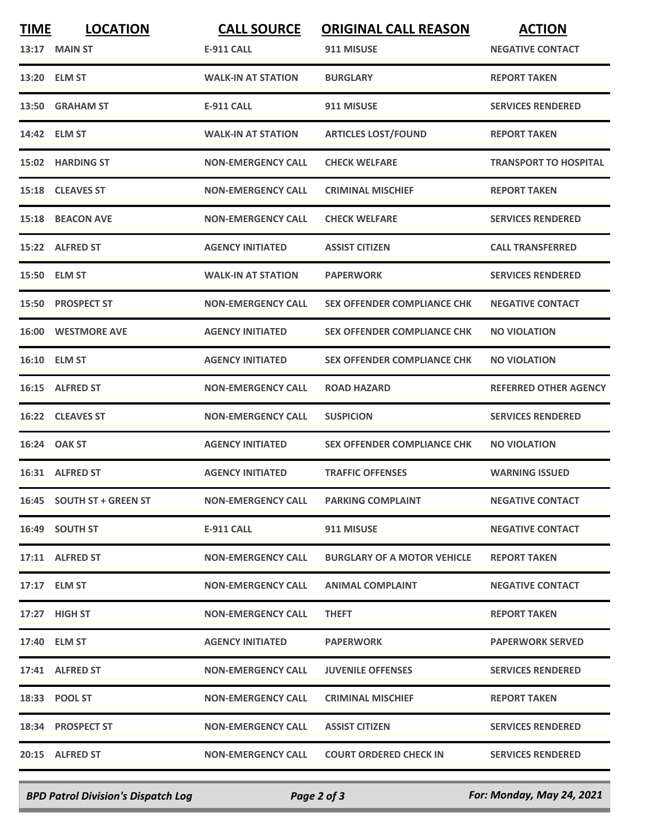| <b>TIME</b> | <b>LOCATION</b>           | <b>CALL SOURCE</b>        | <b>ORIGINAL CALL REASON</b>        | <b>ACTION</b>                |
|-------------|---------------------------|---------------------------|------------------------------------|------------------------------|
|             | 13:17 MAIN ST             | <b>E-911 CALL</b>         | 911 MISUSE                         | <b>NEGATIVE CONTACT</b>      |
|             | 13:20 ELM ST              | <b>WALK-IN AT STATION</b> | <b>BURGLARY</b>                    | <b>REPORT TAKEN</b>          |
|             | 13:50 GRAHAM ST           | <b>E-911 CALL</b>         | 911 MISUSE                         | <b>SERVICES RENDERED</b>     |
|             | 14:42 ELM ST              | <b>WALK-IN AT STATION</b> | <b>ARTICLES LOST/FOUND</b>         | <b>REPORT TAKEN</b>          |
|             | 15:02 HARDING ST          | <b>NON-EMERGENCY CALL</b> | <b>CHECK WELFARE</b>               | <b>TRANSPORT TO HOSPITAL</b> |
|             | 15:18 CLEAVES ST          | <b>NON-EMERGENCY CALL</b> | <b>CRIMINAL MISCHIEF</b>           | <b>REPORT TAKEN</b>          |
| 15:18       | <b>BEACON AVE</b>         | <b>NON-EMERGENCY CALL</b> | <b>CHECK WELFARE</b>               | <b>SERVICES RENDERED</b>     |
|             | 15:22 ALFRED ST           | <b>AGENCY INITIATED</b>   | <b>ASSIST CITIZEN</b>              | <b>CALL TRANSFERRED</b>      |
| 15:50       | <b>ELM ST</b>             | <b>WALK-IN AT STATION</b> | <b>PAPERWORK</b>                   | <b>SERVICES RENDERED</b>     |
|             | 15:50 PROSPECT ST         | <b>NON-EMERGENCY CALL</b> | <b>SEX OFFENDER COMPLIANCE CHK</b> | <b>NEGATIVE CONTACT</b>      |
|             | <b>16:00 WESTMORE AVE</b> | <b>AGENCY INITIATED</b>   | <b>SEX OFFENDER COMPLIANCE CHK</b> | <b>NO VIOLATION</b>          |
|             | 16:10 ELM ST              | <b>AGENCY INITIATED</b>   | <b>SEX OFFENDER COMPLIANCE CHK</b> | <b>NO VIOLATION</b>          |
|             | 16:15 ALFRED ST           | <b>NON-EMERGENCY CALL</b> | <b>ROAD HAZARD</b>                 | <b>REFERRED OTHER AGENCY</b> |
|             | 16:22 CLEAVES ST          | <b>NON-EMERGENCY CALL</b> | <b>SUSPICION</b>                   | <b>SERVICES RENDERED</b>     |
|             | 16:24 OAK ST              | <b>AGENCY INITIATED</b>   | <b>SEX OFFENDER COMPLIANCE CHK</b> | <b>NO VIOLATION</b>          |
|             | 16:31 ALFRED ST           | <b>AGENCY INITIATED</b>   | <b>TRAFFIC OFFENSES</b>            | <b>WARNING ISSUED</b>        |
|             | 16:45 SOUTH ST + GREEN ST | <b>NON-EMERGENCY CALL</b> | <b>PARKING COMPLAINT</b>           | <b>NEGATIVE CONTACT</b>      |
|             | 16:49 SOUTH ST            | E-911 CALL                | 911 MISUSE                         | <b>NEGATIVE CONTACT</b>      |
|             | 17:11 ALFRED ST           | <b>NON-EMERGENCY CALL</b> | <b>BURGLARY OF A MOTOR VEHICLE</b> | <b>REPORT TAKEN</b>          |
|             | 17:17 ELM ST              | <b>NON-EMERGENCY CALL</b> | <b>ANIMAL COMPLAINT</b>            | <b>NEGATIVE CONTACT</b>      |
|             | 17:27 HIGH ST             | <b>NON-EMERGENCY CALL</b> | <b>THEFT</b>                       | <b>REPORT TAKEN</b>          |
|             | 17:40 ELM ST              | <b>AGENCY INITIATED</b>   | <b>PAPERWORK</b>                   | <b>PAPERWORK SERVED</b>      |
|             | 17:41 ALFRED ST           | <b>NON-EMERGENCY CALL</b> | <b>JUVENILE OFFENSES</b>           | <b>SERVICES RENDERED</b>     |
|             | 18:33 POOL ST             | <b>NON-EMERGENCY CALL</b> | <b>CRIMINAL MISCHIEF</b>           | <b>REPORT TAKEN</b>          |
|             | 18:34 PROSPECT ST         | <b>NON-EMERGENCY CALL</b> | <b>ASSIST CITIZEN</b>              | <b>SERVICES RENDERED</b>     |
|             | 20:15 ALFRED ST           | <b>NON-EMERGENCY CALL</b> | <b>COURT ORDERED CHECK IN</b>      | <b>SERVICES RENDERED</b>     |
|             |                           |                           |                                    |                              |

*BPD Patrol Division's Dispatch Log Page 2 of 3 For: Monday, May 24, 2021*